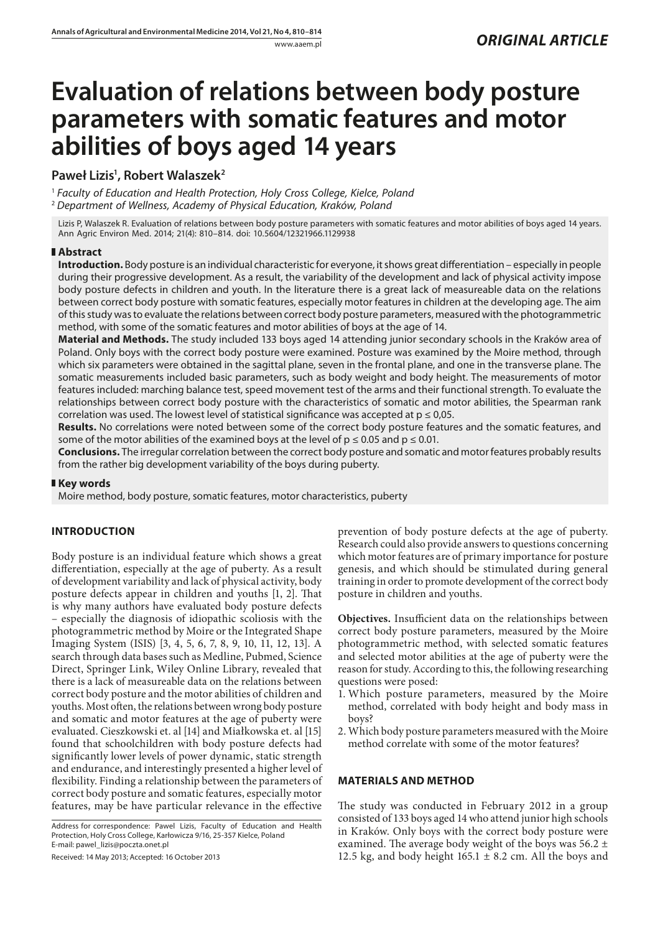# **Evaluation of relations between body posture parameters with somatic features and motor abilities of boys aged 14 years**

# **Paweł Lizis1 , Robert Walaszek2**

<sup>1</sup> *Faculty of Education and Health Protection, Holy Cross College, Kielce, Poland* <sup>2</sup> *Department of Wellness, Academy of Physical Education, Kraków, Poland*

Lizis P, Walaszek R. Evaluation of relations between body posture parameters with somatic features and motor abilities of boys aged 14 years. Ann Agric Environ Med. 2014; 21(4): 810–814. doi: 10.5604/12321966.1129938

## **Abstract**

**Introduction.** Body posture is an individual characteristic for everyone, it shows great differentiation – especially in people during their progressive development. As a result, the variability of the development and lack of physical activity impose body posture defects in children and youth. In the literature there is a great lack of measureable data on the relations between correct body posture with somatic features, especially motor features in children at the developing age. The aim of this study was to evaluate the relations between correct body posture parameters, measured with the photogrammetric method, with some of the somatic features and motor abilities of boys at the age of 14.

**Material and Methods.** The study included 133 boys aged 14 attending junior secondary schools in the Kraków area of Poland. Only boys with the correct body posture were examined. Posture was examined by the Moire method, through which six parameters were obtained in the sagittal plane, seven in the frontal plane, and one in the transverse plane. The somatic measurements included basic parameters, such as body weight and body height. The measurements of motor features included: marching balance test, speed movement test of the arms and their functional strength. To evaluate the relationships between correct body posture with the characteristics of somatic and motor abilities, the Spearman rank correlation was used. The lowest level of statistical significance was accepted at  $p \le 0.05$ .

**Results.** No correlations were noted between some of the correct body posture features and the somatic features, and some of the motor abilities of the examined boys at the level of  $p \le 0.05$  and  $p \le 0.01$ .

**Conclusions.** The irregular correlation between the correct body posture and somatic and motor features probably results from the rather big development variability of the boys during puberty.

## **Key words**

Moire method, body posture, somatic features, motor characteristics, puberty

## **INTRODUCTION**

Body posture is an individual feature which shows a great differentiation, especially at the age of puberty. As a result of development variability and lack of physical activity, body posture defects appear in children and youths [1, 2]. That is why many authors have evaluated body posture defects – especially the diagnosis of idiopathic scoliosis with the photogrammetric method by Moire or the Integrated Shape Imaging System (ISIS) [3, 4, 5, 6, 7, 8, 9, 10, 11, 12, 13]. A search through data bases such as Medline, Pubmed, Science Direct, Springer Link, Wiley Online Library, revealed that there is a lack of measureable data on the relations between correct body posture and the motor abilities of children and youths. Most often, the relations between wrong body posture and somatic and motor features at the age of puberty were evaluated. Cieszkowski et. al [14] and Miałkowska et. al [15] found that schoolchildren with body posture defects had significantly lower levels of power dynamic, static strength and endurance, and interestingly presented a higher level of flexibility. Finding a relationship between the parameters of correct body posture and somatic features, especially motor features, may be have particular relevance in the effective

Received: 14 May 2013; Accepted: 16 October 2013

prevention of body posture defects at the age of puberty. Research could also provide answers to questions concerning which motor features are of primary importance for posture genesis, and which should be stimulated during general training in order to promote development of the correct body posture in children and youths.

**Objectives.** Insufficient data on the relationships between correct body posture parameters, measured by the Moire photogrammetric method, with selected somatic features and selected motor abilities at the age of puberty were the reason for study. According to this, the following researching questions were posed:

- 1. Which posture parameters, measured by the Moire method, correlated with body height and body mass in boys?
- 2. Which body posture parameters measured with the Moire method correlate with some of the motor features?

## **MATERIALS AND METHOD**

The study was conducted in February 2012 in a group consisted of 133 boys aged 14 who attend junior high schools in Kraków. Only boys with the correct body posture were examined. The average body weight of the boys was  $56.2 \pm$ 12.5 kg, and body height  $165.1 \pm 8.2$  cm. All the boys and

Address for correspondence: Pawel Lizis, Faculty of Education and Health Protection, Holy Cross College, Karłowicza 9/16, 25-357 Kielce, Poland E-mail: pawel\_lizis@poczta.onet.pl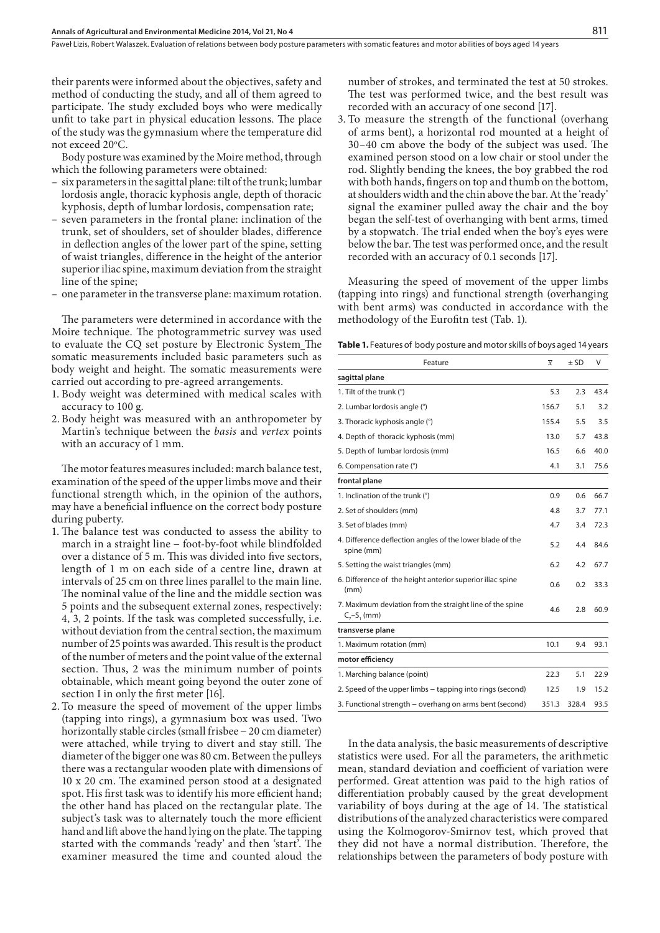Paweł Lizis, Robert Walaszek. Evaluation of relations between body posture parameters with somatic features and motor abilities of boys aged 14 years

their parents were informed about the objectives, safety and method of conducting the study, and all of them agreed to participate. The study excluded boys who were medically unfit to take part in physical education lessons. The place of the study was the gymnasium where the temperature did not exceed 20°C.

Body posture was examined by the Moire method, through which the following parameters were obtained:

- six parameters in the sagittal plane: tilt of the trunk; lumbar lordosis angle, thoracic kyphosis angle, depth of thoracic kyphosis, depth of lumbar lordosis, compensation rate;
- seven parameters in the frontal plane: inclination of the trunk, set of shoulders, set of shoulder blades, difference in deflection angles of the lower part of the spine, setting of waist triangles, difference in the height of the anterior superior iliac spine, maximum deviation from the straight line of the spine;
- one parameter in the transverse plane: maximum rotation.

The parameters were determined in accordance with the Moire technique. The photogrammetric survey was used to evaluate the CQ set posture by Electronic System The somatic measurements included basic parameters such as body weight and height. The somatic measurements were carried out according to pre-agreed arrangements.

- 1. Body weight was determined with medical scales with accuracy to 100 g.
- 2. Body height was measured with an anthropometer by Martin's technique between the *basis* and *vertex* points with an accuracy of 1 mm.

The motor features measures included: march balance test, examination of the speed of the upper limbs move and their functional strength which, in the opinion of the authors, may have a beneficial influence on the correct body posture during puberty.

- 1. The balance test was conducted to assess the ability to march in a straight line − foot-by-foot while blindfolded over a distance of 5 m. This was divided into five sectors, length of 1 m on each side of a centre line, drawn at intervals of 25 cm on three lines parallel to the main line. The nominal value of the line and the middle section was 5 points and the subsequent external zones, respectively: 4, 3, 2 points. If the task was completed successfully, i.e. without deviation from the central section, the maximum number of 25 points was awarded. This result is the product of the number of meters and the point value of the external section. Thus, 2 was the minimum number of points obtainable, which meant going beyond the outer zone of section I in only the first meter [16].
- 2. To measure the speed of movement of the upper limbs (tapping into rings), a gymnasium box was used. Two horizontally stable circles (small frisbee − 20 cm diameter) were attached, while trying to divert and stay still. The diameter of the bigger one was 80 cm. Between the pulleys there was a rectangular wooden plate with dimensions of 10 x 20 cm. The examined person stood at a designated spot. His first task was to identify his more efficient hand; the other hand has placed on the rectangular plate. The subject's task was to alternately touch the more efficient hand and lift above the hand lying on the plate. The tapping started with the commands 'ready' and then 'start'. The examiner measured the time and counted aloud the

number of strokes, and terminated the test at 50 strokes. The test was performed twice, and the best result was recorded with an accuracy of one second [17].

3. To measure the strength of the functional (overhang of arms bent), a horizontal rod mounted at a height of 30–40 cm above the body of the subject was used. The examined person stood on a low chair or stool under the rod. Slightly bending the knees, the boy grabbed the rod with both hands, fingers on top and thumb on the bottom, at shoulders width and the chin above the bar. At the 'ready' signal the examiner pulled away the chair and the boy began the self-test of overhanging with bent arms, timed by a stopwatch. The trial ended when the boy's eyes were below the bar. The test was performed once, and the result recorded with an accuracy of 0.1 seconds [17].

Measuring the speed of movement of the upper limbs (tapping into rings) and functional strength (overhanging with bent arms) was conducted in accordance with the methodology of the Eurofitn test (Tab. 1).

Table 1. Features of body posture and motor skills of boys aged 14 years

| Feature                                                                  | $\overline{x}$ | $±$ SD | V    |
|--------------------------------------------------------------------------|----------------|--------|------|
| sagittal plane                                                           |                |        |      |
| 1. Tilt of the trunk (°)                                                 | 5.3            | 2.3    | 43.4 |
| 2. Lumbar lordosis angle (°)                                             | 156.7          | 5.1    | 3.2  |
| 3. Thoracic kyphosis angle (°)                                           | 155.4          | 5.5    | 3.5  |
| 4. Depth of thoracic kyphosis (mm)                                       | 13.0           | 5.7    | 43.8 |
| 5. Depth of lumbar lordosis (mm)                                         | 16.5           | 6.6    | 40.0 |
| 6. Compensation rate (°)                                                 | 4.1            | 3.1    | 75.6 |
| frontal plane                                                            |                |        |      |
| 1. Inclination of the trunk (°)                                          | 0.9            | 0.6    | 66.7 |
| 2. Set of shoulders (mm)                                                 | 4.8            | 3.7    | 77.1 |
| 3. Set of blades (mm)                                                    | 4.7            | 3.4    | 72.3 |
| 4. Difference deflection angles of the lower blade of the<br>spine (mm)  |                | 4.4    | 84.6 |
| 5. Setting the waist triangles (mm)                                      | 6.2            | 4.2    | 67.7 |
| 6. Difference of the height anterior superior iliac spine<br>(mm)        |                | 0.2    | 33.3 |
| 7. Maximum deviation from the straight line of the spine<br>$C7-S1$ (mm) | 4.6            | 2.8    | 60.9 |
| transverse plane                                                         |                |        |      |
| 1. Maximum rotation (mm)                                                 | 10.1           | 9.4    | 93.1 |
| motor efficiency                                                         |                |        |      |
| 1. Marching balance (point)                                              | 22.3           | 5.1    | 22.9 |
| 2. Speed of the upper limbs - tapping into rings (second)                | 12.5           | 1.9    | 15.2 |
| 3. Functional strength – overhang on arms bent (second)                  | 351.3          | 328.4  | 93.5 |

In the data analysis, the basic measurements of descriptive statistics were used. For all the parameters, the arithmetic mean, standard deviation and coefficient of variation were performed. Great attention was paid to the high ratios of differentiation probably caused by the great development variability of boys during at the age of 14. The statistical distributions of the analyzed characteristics were compared using the Kolmogorov-Smirnov test, which proved that they did not have a normal distribution. Therefore, the relationships between the parameters of body posture with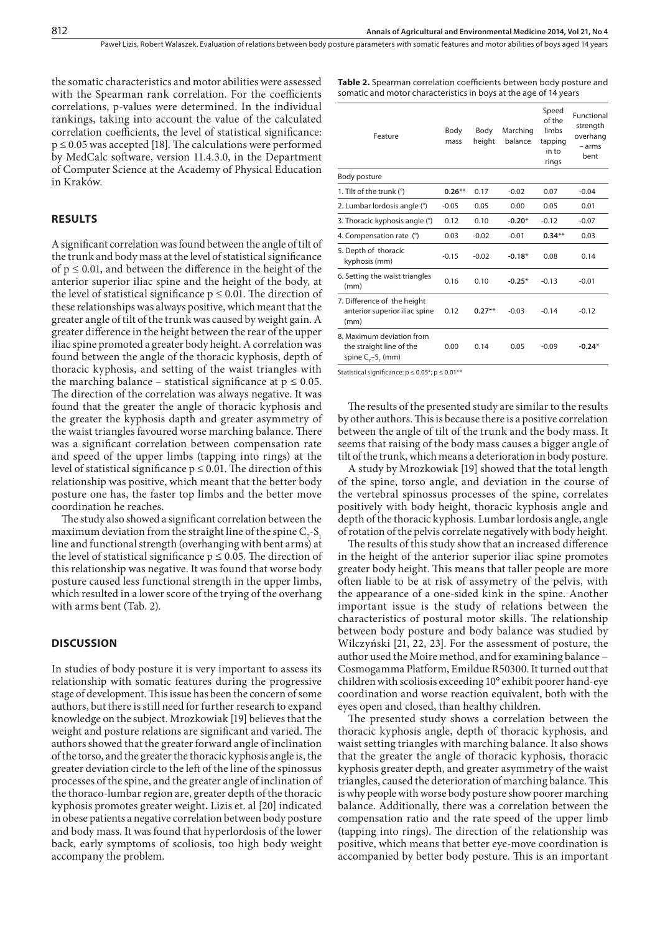Paweł Lizis, Robert Walaszek . Evaluation of relations between body posture parameters with somatic features and motor abilities of boys aged 14 years

the somatic characteristics and motor abilities were assessed with the Spearman rank correlation. For the coefficients correlations, p-values were determined. In the individual rankings, taking into account the value of the calculated correlation coefficients, the level of statistical significance:  $p \le 0.05$  was accepted [18]. The calculations were performed by MedCalc software, version 11.4.3.0, in the Department of Computer Science at the Academy of Physical Education in Kraków.

#### **RESULTS**

A significant correlation was found between the angle of tilt of the trunk and body mass at the level of statistical significance of  $p \leq 0.01$ , and between the difference in the height of the anterior superior iliac spine and the height of the body, at the level of statistical significance  $p \leq 0.01$ . The direction of these relationships was always positive, which meant that the greater angle of tilt of the trunk was caused by weight gain. A greater difference in the height between the rear of the upper iliac spine promoted a greater body height. A correlation was found between the angle of the thoracic kyphosis, depth of thoracic kyphosis, and setting of the waist triangles with the marching balance – statistical significance at  $p \leq 0.05$ . The direction of the correlation was always negative. It was found that the greater the angle of thoracic kyphosis and the greater the kyphosis dapth and greater asymmetry of the waist triangles favoured worse marching balance. There was a significant correlation between compensation rate and speed of the upper limbs (tapping into rings) at the level of statistical significance  $p \leq 0.01$ . The direction of this relationship was positive, which meant that the better body posture one has, the faster top limbs and the better move coordination he reaches.

The study also showed a significant correlation between the maximum deviation from the straight line of the spine  $C_{\overline{z}}$ -S<sub>1</sub> line and functional strength (overhanging with bent arms) at the level of statistical significance  $p \le 0.05$ . The direction of this relationship was negative. It was found that worse body posture caused less functional strength in the upper limbs, which resulted in a lower score of the trying of the overhang with arms bent (Tab. 2).

#### **DISCUSSION**

In studies of body posture it is very important to assess its relationship with somatic features during the progressive stage of development. This issue has been the concern of some authors, but there is still need for further research to expand knowledge on the subject. Mrozkowiak [19] believes that the weight and posture relations are significant and varied. The authors showed that the greater forward angle of inclination of the torso, and the greater the thoracic kyphosis angle is, the greater deviation circle to the left of the line of the spinossus processes of the spine, and the greater angle of inclination of the thoraco-lumbar region are, greater depth of the thoracic kyphosis promotes greater weight**.** Lizis et. al [20] indicated in obese patients a negative correlation between body posture and body mass. It was found that hyperlordosis of the lower back, early symptoms of scoliosis, too high body weight accompany the problem.

**Table 2.** Spearman correlation coefficients between body posture and somatic and motor characteristics in boys at the age of 14 years

| Feature                                                                       | Body<br>mass | Body<br>height | Marching<br>balance | Speed<br>of the<br>limbs<br>tapping<br>in to<br>rings | Functional<br>strength<br>overhang<br>$-$ arms<br>bent |
|-------------------------------------------------------------------------------|--------------|----------------|---------------------|-------------------------------------------------------|--------------------------------------------------------|
| Body posture                                                                  |              |                |                     |                                                       |                                                        |
| 1. Tilt of the trunk (°)                                                      | $0.26***$    | 0.17           | $-0.02$             | 0.07                                                  | $-0.04$                                                |
| 2. Lumbar lordosis angle (°)                                                  | $-0.05$      | 0.05           | 0.00                | 0.05                                                  | 0.01                                                   |
| 3. Thoracic kyphosis angle (°)                                                | 0.12         | 0.10           | $-0.20*$            | $-0.12$                                               | $-0.07$                                                |
| 4. Compensation rate (°)                                                      | 0.03         | $-0.02$        | $-0.01$             | $0.34**$                                              | 0.03                                                   |
| 5. Depth of thoracic<br>kyphosis (mm)                                         | $-0.15$      | $-0.02$        | $-0.18*$            | 0.08                                                  | 0.14                                                   |
| 6. Setting the waist triangles<br>(mm)                                        | 0.16         | 0.10           | $-0.25*$            | $-0.13$                                               | $-0.01$                                                |
| 7. Difference of the height<br>anterior superior iliac spine<br>(mm)          | 0.12         | $0.27**$       | $-0.03$             | $-0.14$                                               | $-0.12$                                                |
| 8. Maximum deviation from<br>the straight line of the<br>spine $C_1-S_1$ (mm) | 0.00         | 0.14           | 0.05                | $-0.09$                                               | $-0.24*$                                               |

Statistical significance:  $p \le 0.05$ \*;  $p \le 0.01$ \*\*

The results of the presented study are similar to the results by other authors. This is because there is a positive correlation between the angle of tilt of the trunk and the body mass. It seems that raising of the body mass causes a bigger angle of tilt of the trunk, which means a deterioration in body posture.

A study by Mrozkowiak [19] showed that the total length of the spine, torso angle, and deviation in the course of the vertebral spinossus processes of the spine, correlates positively with body height, thoracic kyphosis angle and depth of the thoracic kyphosis. Lumbar lordosis angle, angle of rotation of the pelvis correlate negatively with body height.

The results of this study show that an increased difference in the height of the anterior superior iliac spine promotes greater body height. This means that taller people are more often liable to be at risk of assymetry of the pelvis, with the appearance of a one-sided kink in the spine. Another important issue is the study of relations between the characteristics of postural motor skills. The relationship between body posture and body balance was studied by Wilczyński [21, 22, 23]. For the assessment of posture, the author used the Moire method, and for examining balance − Cosmogamma Platform, Emildue R50300. It turned out that children with scoliosis exceeding 10° exhibit poorer hand-eye coordination and worse reaction equivalent, both with the eyes open and closed, than healthy children.

The presented study shows a correlation between the thoracic kyphosis angle, depth of thoracic kyphosis, and waist setting triangles with marching balance. It also shows that the greater the angle of thoracic kyphosis, thoracic kyphosis greater depth, and greater asymmetry of the waist triangles, caused the deterioration of marching balance. This is why people with worse body posture show poorer marching balance. Additionally, there was a correlation between the compensation ratio and the rate speed of the upper limb (tapping into rings). The direction of the relationship was positive, which means that better eye-move coordination is accompanied by better body posture. This is an important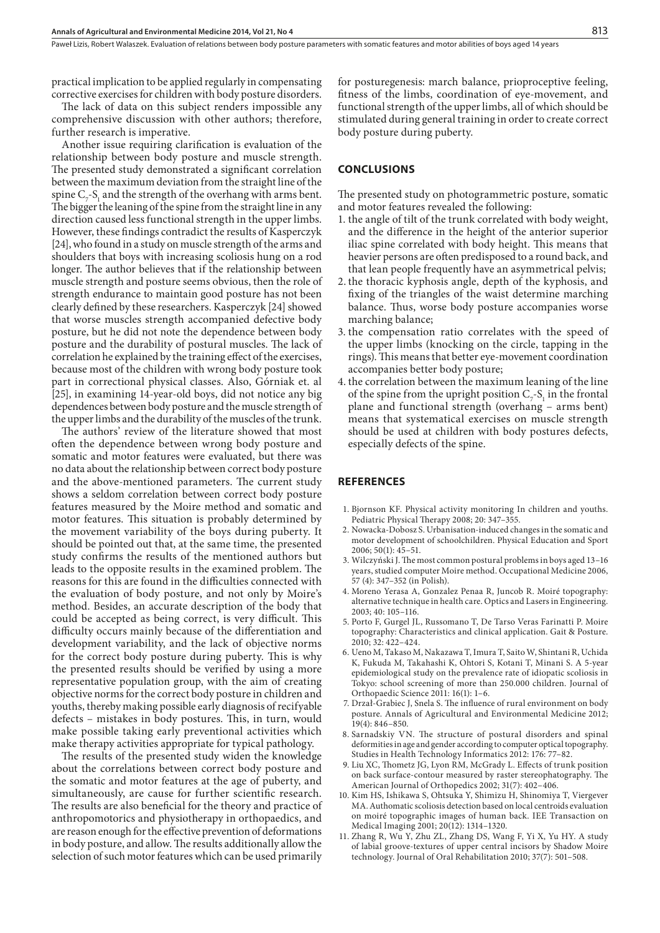practical implication to be applied regularly in compensating corrective exercises for children with body posture disorders.

The lack of data on this subject renders impossible any comprehensive discussion with other authors; therefore, further research is imperative.

Another issue requiring clarification is evaluation of the relationship between body posture and muscle strength. The presented study demonstrated a significant correlation between the maximum deviation from the straight line of the spine  $C_7$ -S<sub>1</sub> and the strength of the overhang with arms bent. The bigger the leaning of the spine from the straight line in any direction caused less functional strength in the upper limbs. However, these findings contradict the results of Kasperczyk [24], who found in a study on muscle strength of the arms and shoulders that boys with increasing scoliosis hung on a rod longer. The author believes that if the relationship between muscle strength and posture seems obvious, then the role of strength endurance to maintain good posture has not been clearly defined by these researchers. Kasperczyk [24] showed that worse muscles strength accompanied defective body posture, but he did not note the dependence between body posture and the durability of postural muscles. The lack of correlation he explained by the training effect of the exercises, because most of the children with wrong body posture took part in correctional physical classes. Also, Górniak et. al [25], in examining 14-year-old boys, did not notice any big dependences between body posture and the muscle strength of the upper limbs and the durability of the muscles of the trunk.

The authors' review of the literature showed that most often the dependence between wrong body posture and somatic and motor features were evaluated, but there was no data about the relationship between correct body posture and the above-mentioned parameters. The current study shows a seldom correlation between correct body posture features measured by the Moire method and somatic and motor features. This situation is probably determined by the movement variability of the boys during puberty. It should be pointed out that, at the same time, the presented study confirms the results of the mentioned authors but leads to the opposite results in the examined problem. The reasons for this are found in the difficulties connected with the evaluation of body posture, and not only by Moire's method. Besides, an accurate description of the body that could be accepted as being correct, is very difficult. This difficulty occurs mainly because of the differentiation and development variability, and the lack of objective norms for the correct body posture during puberty. This is why the presented results should be verified by using a more representative population group, with the aim of creating objective norms for the correct body posture in children and youths, thereby making possible early diagnosis of recifyable defects – mistakes in body postures. This, in turn, would make possible taking early preventional activities which make therapy activities appropriate for typical pathology.

The results of the presented study widen the knowledge about the correlations between correct body posture and the somatic and motor features at the age of puberty, and simultaneously, are cause for further scientific research. The results are also beneficial for the theory and practice of anthropomotorics and physiotherapy in orthopaedics, and are reason enough for the effective prevention of deformations in body posture, and allow. The results additionally allow the selection of such motor features which can be used primarily

for posturegenesis: march balance, prioproceptive feeling, fitness of the limbs, coordination of eye-movement, and functional strength of the upper limbs, all of which should be stimulated during general training in order to create correct body posture during puberty.

#### **CONCLUSIONS**

The presented study on photogrammetric posture, somatic and motor features revealed the following:

- 1. the angle of tilt of the trunk correlated with body weight, and the difference in the height of the anterior superior iliac spine correlated with body height. This means that heavier persons are often predisposed to a round back, and that lean people frequently have an asymmetrical pelvis;
- 2. the thoracic kyphosis angle, depth of the kyphosis, and fixing of the triangles of the waist determine marching balance. Thus, worse body posture accompanies worse marching balance;
- 3. the compensation ratio correlates with the speed of the upper limbs (knocking on the circle, tapping in the rings). This means that better eye-movement coordination accompanies better body posture;
- 4. the correlation between the maximum leaning of the line of the spine from the upright position  $C_7$ -S<sub>1</sub> in the frontal plane and functional strength (overhang – arms bent) means that systematical exercises on muscle strength should be used at children with body postures defects, especially defects of the spine.

#### **REFERENCES**

- 1. Bjornson KF. Physical activity monitoring In children and youths. Pediatric Physical Therapy 2008; 20: 347–355.
- 2. Nowacka-Dobosz S. Urbanisation-induced changes in the somatic and motor development of schoolchildren. Physical Education and Sport 2006; 50(1): 45–51.
- 3. Wilczyński J. The most common postural problems in boys aged 13–16 years, studied computer Moire method. Occupational Medicine 2006, 57 (4): 347–352 (in Polish).
- 4. Moreno Yerasa A, Gonzalez Penaa R, Juncob R. Moiré topography: alternative technique in health care. Optics and Lasers in Engineering. 2003; 40: 105–116.
- 5. Porto F, Gurgel JL, Russomano T, De Tarso Veras Farinatti P. Moire topography: Characteristics and clinical application. Gait & Posture. 2010; 32: 422–424.
- 6. Ueno M, Takaso M, Nakazawa T, Imura T, Saito W, Shintani R, Uchida K, Fukuda M, Takahashi K, Ohtori S, Kotani T, Minani S. A 5-year epidemiological study on the prevalence rate of idiopatic scoliosis in Tokyo: school screening of more than 250.000 children. Journal of Orthopaedic Science 2011: 16(1): 1–6.
- 7. Drzał-Grabiec J, Snela S. The influence of rural environment on body posture. Annals of Agricultural and Environmental Medicine 2012; 19(4): 846–850.
- 8. Sarnadskiy VN. The structure of postural disorders and spinal deformities in age and gender according to computer optical topography. Studies in Health Technology Informatics 2012: 176: 77–82.
- 9. Liu XC, Thometz JG, Lyon RM, McGrady L. Effects of trunk position on back surface-contour measured by raster stereophatography. The American Journal of Orthopedics 2002; 31(7): 402–406.
- 10. Kim HS, Ishikawa S, Ohtsuka Y, Shimizu H, Shinomiya T, Viergever MA. Authomatic scoliosis detection based on local centroids evaluation on moiré topographic images of human back. IEE Transaction on Medical Imaging 2001; 20(12): 1314–1320.
- 11. Zhang R, Wu Y, Zhu ZL, Zhang DS, Wang F, Yi X, Yu HY. A study of labial groove-textures of upper central incisors by Shadow Moire technology. Journal of Oral Rehabilitation 2010; 37(7): 501–508.